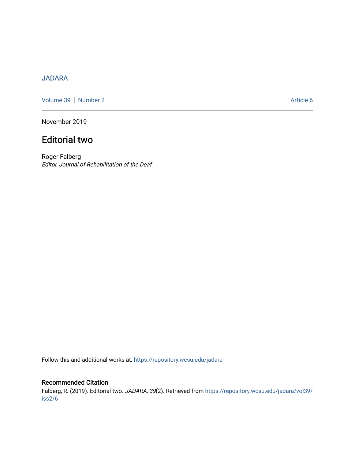## [JADARA](https://repository.wcsu.edu/jadara)

[Volume 39](https://repository.wcsu.edu/jadara/vol39) | [Number 2](https://repository.wcsu.edu/jadara/vol39/iss2) Article 6

November 2019

# Editorial two

Roger Falberg Editor, Journal of Rehabilitation of the Deaf

Follow this and additional works at: [https://repository.wcsu.edu/jadara](https://repository.wcsu.edu/jadara?utm_source=repository.wcsu.edu%2Fjadara%2Fvol39%2Fiss2%2F6&utm_medium=PDF&utm_campaign=PDFCoverPages)

## Recommended Citation Falberg, R. (2019). Editorial two. JADARA, 39(2). Retrieved from [https://repository.wcsu.edu/jadara/vol39/](https://repository.wcsu.edu/jadara/vol39/iss2/6?utm_source=repository.wcsu.edu%2Fjadara%2Fvol39%2Fiss2%2F6&utm_medium=PDF&utm_campaign=PDFCoverPages) [iss2/6](https://repository.wcsu.edu/jadara/vol39/iss2/6?utm_source=repository.wcsu.edu%2Fjadara%2Fvol39%2Fiss2%2F6&utm_medium=PDF&utm_campaign=PDFCoverPages)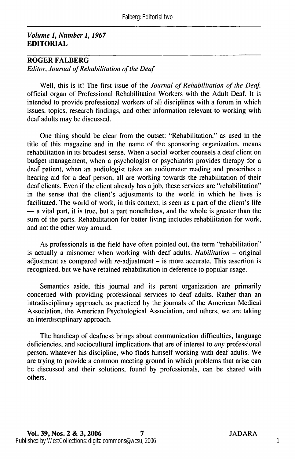#### Volume 1, Number 1, 1967 EDITORIAL

### ROGER FALBERG

Editor, Journal of Rehabilitation of the Deaf

Well, this is it! The first issue of the Journal of Rehabilitation of the Deaf, official organ of Professional Rehabilitation Workers with the Adult Deaf. It is intended to provide professional workers of all disciplines with a forum in which issues, topics, research findings, and other information relevant to working with deaf adults may be discussed.

One thing should be clear from the outset: "Rehabilitation," as used in the title of this magazine and in the name of the sponsoring organization, means rehabilitation in its broadest sense. When a social worker counsels a deaf client on budget management, when a psychologist or psychiatrist provides therapy for a deaf patient, when an audiologist takes an audiometer reading and prescribes a hearing aid for a deaf person, all are working towards the rehabilitation of their deaf clients. Even if the client already has a job, these services are "rehabilitation" in the sense that the client's adjustments to the world in which he lives is facilitated. The world of work, in this context, is seen as a part of the client's life — a vital part, it is true, but a part nonetheless, and the whole is greater than the sum of the parts. Rehabilitation for better living includes rehabilitation for work, and not the other way around.

As professionals in the field have often pointed out, the term "rehabilitation" is actually a misnomer when working with deaf adults. Habilitation  $-$  original adjustment as compared with  $re$ -adjustment  $-$  is more accurate. This assertion is recognized, but we have retained rehabilitation in deference to popular usage.

Semantics aside, this journal and its parent organization are primarily concerned with providing professional services to deaf adults. Rather than an intradisciplinary approach, as practiced by the journals of the American Medical Association, the American Psychological Association, and others, we are taking an interdisciplinary approach.

The handicap of deafness brings about communication difficulties, language deficiencies, and sociocultural implications that are of interest to any professional person, whatever his discipline, who finds himself working with deaf adults. We are trying to provide a common meeting ground in which problems that arise can be discussed and their solutions, found by professionals, can be shared with others.